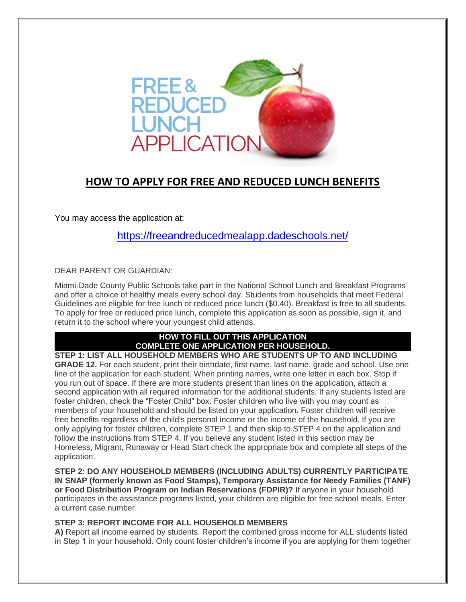

### **HOW TO APPLY FOR FREE AND REDUCED LUNCH BENEFITS**

You may access the application at:

<https://freeandreducedmealapp.dadeschools.net/>

DEAR PARENT OR GUARDIAN:

Miami-Dade County Public Schools take part in the National School Lunch and Breakfast Programs and offer a choice of healthy meals every school day. Students from households that meet Federal Guidelines are eligible for free lunch or reduced price lunch (\$0.40). Breakfast is free to all students. To apply for free or reduced price lunch, complete this application as soon as possible, sign it, and return it to the school where your youngest child attends.

#### **HOW TO FILL OUT THIS APPLICATION COMPLETE ONE APPLICATION PER HOUSEHOLD.**

**STEP 1: LIST ALL HOUSEHOLD MEMBERS WHO ARE STUDENTS UP TO AND INCLUDING GRADE 12.** For each student, print their birthdate, first name, last name, grade and school. Use one line of the application for each student. When printing names, write one letter in each box. Stop if you run out of space. If there are more students present than lines on the application, attach a second application with all required information for the additional students. If any students listed are foster children, check the "Foster Child" box. Foster children who live with you may count as members of your household and should be listed on your application. Foster children will receive free benefits regardless of the child's personal income or the income of the household. If you are only applying for foster children, complete STEP 1 and then skip to STEP 4 on the application and follow the instructions from STEP 4. If you believe any student listed in this section may be Homeless, Migrant, Runaway or Head Start check the appropriate box and complete all steps of the application.

**STEP 2: DO ANY HOUSEHOLD MEMBERS (INCLUDING ADULTS) CURRENTLY PARTICIPATE IN SNAP (formerly known as Food Stamps), Temporary Assistance for Needy Families (TANF) or Food Distribution Program on Indian Reservations (FDPIR)?** If anyone in your household participates in the assistance programs listed, your children are eligible for free school meals. Enter a current case number.

#### **STEP 3: REPORT INCOME FOR ALL HOUSEHOLD MEMBERS**

**A)** Report all income earned by students. Report the combined gross income for ALL students listed in Step 1 in your household. Only count foster children's income if you are applying for them together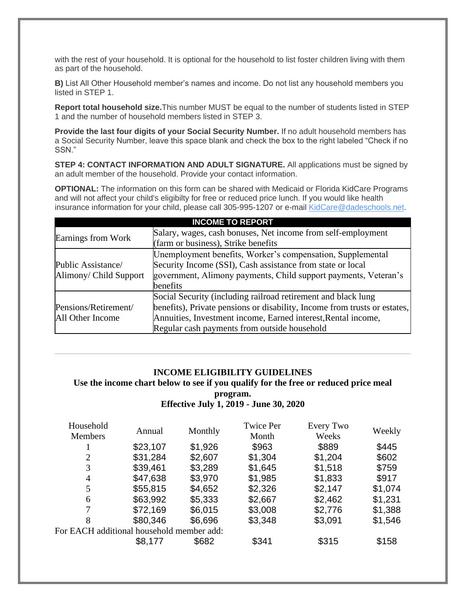with the rest of your household. It is optional for the household to list foster children living with them as part of the household.

**B)** List All Other Household member's names and income. Do not list any household members you listed in STEP 1.

**Report total household size.**This number MUST be equal to the number of students listed in STEP 1 and the number of household members listed in STEP 3.

**Provide the last four digits of your Social Security Number.** If no adult household members has a Social Security Number, leave this space blank and check the box to the right labeled "Check if no SSN."

**STEP 4: CONTACT INFORMATION AND ADULT SIGNATURE.** All applications must be signed by an adult member of the household. Provide your contact information.

**OPTIONAL:** The information on this form can be shared with Medicaid or Florida KidCare Programs and will not affect your child's eligibilty for free or reduced price lunch. If you would like health insurance information for your child, please call 305-995-1207 or e-mail [KidCare@dadeschools.net.](mailto:KidCare@dadeschools.net)

| <b>INCOME TO REPORT</b>                      |                                                                                                                                                                                                                                                             |  |  |  |  |  |
|----------------------------------------------|-------------------------------------------------------------------------------------------------------------------------------------------------------------------------------------------------------------------------------------------------------------|--|--|--|--|--|
| Earnings from Work                           | Salary, wages, cash bonuses, Net income from self-employment<br>(farm or business), Strike benefits                                                                                                                                                         |  |  |  |  |  |
| Public Assistance/<br>Alimony/ Child Support | Unemployment benefits, Worker's compensation, Supplemental<br>Security Income (SSI), Cash assistance from state or local<br>government, Alimony payments, Child support payments, Veteran's<br>benefits                                                     |  |  |  |  |  |
| Pensions/Retirement/<br>All Other Income     | Social Security (including railroad retirement and black lung<br>benefits), Private pensions or disability, Income from trusts or estates,<br>Annuities, Investment income, Earned interest, Rental income,<br>Regular cash payments from outside household |  |  |  |  |  |

#### **INCOME ELIGIBILITY GUIDELINES**

#### **Use the income chart below to see if you qualify for the free or reduced price meal program. Effective July 1, 2019 - June 30, 2020**

| Household<br>Annual<br><b>Members</b> |         | <b>Twice Per</b>                                     | Every Two | Weekly  |
|---------------------------------------|---------|------------------------------------------------------|-----------|---------|
|                                       |         | Month                                                | Weeks     |         |
| \$23,107                              | \$1,926 | \$963                                                | \$889     | \$445   |
| \$31,284                              | \$2,607 | \$1,304                                              | \$1,204   | \$602   |
| \$39,461                              | \$3,289 | \$1,645                                              | \$1,518   | \$759   |
| \$47,638                              | \$3,970 | \$1,985                                              | \$1,833   | \$917   |
| \$55,815                              | \$4,652 | \$2,326                                              | \$2,147   | \$1,074 |
| \$63,992                              | \$5,333 | \$2,667                                              | \$2,462   | \$1,231 |
| \$72,169                              | \$6,015 | \$3,008                                              | \$2,776   | \$1,388 |
| \$80,346                              | \$6,696 | \$3,348                                              | \$3,091   | \$1,546 |
|                                       |         |                                                      |           |         |
| \$8,177                               | \$682   | \$341                                                | \$315     | \$158   |
|                                       |         | Monthly<br>For EACH additional household member add: |           |         |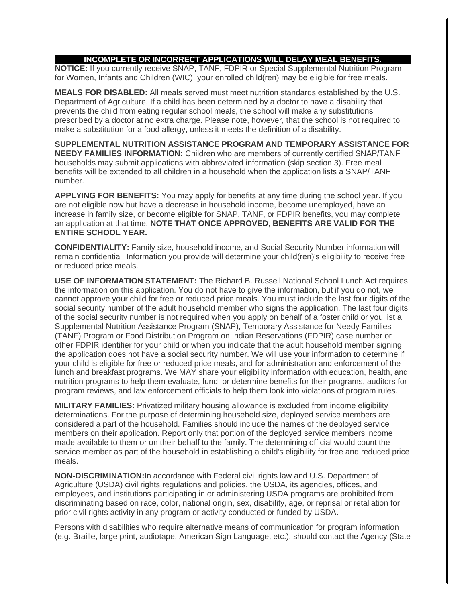#### **INCOMPLETE OR INCORRECT APPLICATIONS WILL DELAY MEAL BENEFITS.**

**NOTICE:** If you currently receive SNAP, TANF, FDPIR or Special Supplemental Nutrition Program for Women, Infants and Children (WIC), your enrolled child(ren) may be eligible for free meals.

**MEALS FOR DISABLED:** All meals served must meet nutrition standards established by the U.S. Department of Agriculture. If a child has been determined by a doctor to have a disability that prevents the child from eating regular school meals, the school will make any substitutions prescribed by a doctor at no extra charge. Please note, however, that the school is not required to make a substitution for a food allergy, unless it meets the definition of a disability.

**SUPPLEMENTAL NUTRITION ASSISTANCE PROGRAM AND TEMPORARY ASSISTANCE FOR NEEDY FAMILIES INFORMATION:** Children who are members of currently certified SNAP/TANF households may submit applications with abbreviated information (skip section 3). Free meal benefits will be extended to all children in a household when the application lists a SNAP/TANF number.

**APPLYING FOR BENEFITS:** You may apply for benefits at any time during the school year. If you are not eligible now but have a decrease in household income, become unemployed, have an increase in family size, or become eligible for SNAP, TANF, or FDPIR benefits, you may complete an application at that time. **NOTE THAT ONCE APPROVED, BENEFITS ARE VALID FOR THE ENTIRE SCHOOL YEAR.**

**CONFIDENTIALITY:** Family size, household income, and Social Security Number information will remain confidential. Information you provide will determine your child(ren)'s eligibility to receive free or reduced price meals.

**USE OF INFORMATION STATEMENT:** The Richard B. Russell National School Lunch Act requires the information on this application. You do not have to give the information, but if you do not, we cannot approve your child for free or reduced price meals. You must include the last four digits of the social security number of the adult household member who signs the application. The last four digits of the social security number is not required when you apply on behalf of a foster child or you list a Supplemental Nutrition Assistance Program (SNAP), Temporary Assistance for Needy Families (TANF) Program or Food Distribution Program on Indian Reservations (FDPIR) case number or other FDPIR identifier for your child or when you indicate that the adult household member signing the application does not have a social security number. We will use your information to determine if your child is eligible for free or reduced price meals, and for administration and enforcement of the lunch and breakfast programs. We MAY share your eligibility information with education, health, and nutrition programs to help them evaluate, fund, or determine benefits for their programs, auditors for program reviews, and law enforcement officials to help them look into violations of program rules.

**MILITARY FAMILIES:** Privatized military housing allowance is excluded from income eligibility determinations. For the purpose of determining household size, deployed service members are considered a part of the household. Families should include the names of the deployed service members on their application. Report only that portion of the deployed service members income made available to them or on their behalf to the family. The determining official would count the service member as part of the household in establishing a child's eligibility for free and reduced price meals.

**NON-DISCRIMINATION:**In accordance with Federal civil rights law and U.S. Department of Agriculture (USDA) civil rights regulations and policies, the USDA, its agencies, offices, and employees, and institutions participating in or administering USDA programs are prohibited from discriminating based on race, color, national origin, sex, disability, age, or reprisal or retaliation for prior civil rights activity in any program or activity conducted or funded by USDA.

Persons with disabilities who require alternative means of communication for program information (e.g. Braille, large print, audiotape, American Sign Language, etc.), should contact the Agency (State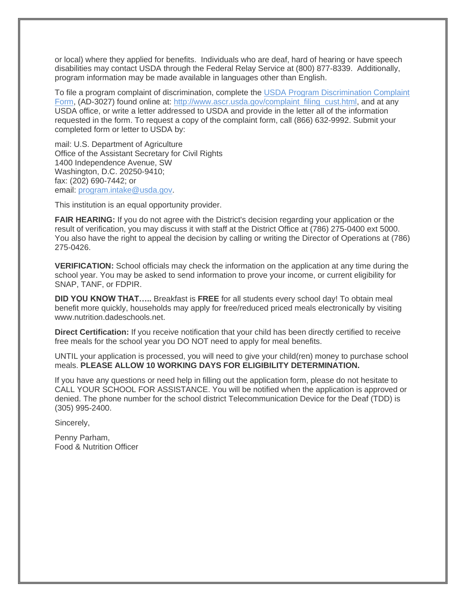or local) where they applied for benefits. Individuals who are deaf, hard of hearing or have speech disabilities may contact USDA through the Federal Relay Service at (800) 877-8339. Additionally, program information may be made available in languages other than English.

To file a program complaint of discrimination, complete the [USDA Program Discrimination Complaint](http://www.ocio.usda.gov/sites/default/files/docs/2012/Complain_combined_6_8_12.pdf)  [Form,](http://www.ocio.usda.gov/sites/default/files/docs/2012/Complain_combined_6_8_12.pdf) (AD-3027) found online at: http://www.ascr.usda.gov/complaint filing cust.html, and at any USDA office, or write a letter addressed to USDA and provide in the letter all of the information requested in the form. To request a copy of the complaint form, call (866) 632-9992. Submit your completed form or letter to USDA by:

mail: U.S. Department of Agriculture Office of the Assistant Secretary for Civil Rights 1400 Independence Avenue, SW Washington, D.C. 20250-9410; fax: (202) 690-7442; or email: [program.intake@usda.gov.](mailto:program.intake@usda.gov)

This institution is an equal opportunity provider.

**FAIR HEARING:** If you do not agree with the District's decision regarding your application or the result of verification, you may discuss it with staff at the District Office at (786) 275-0400 ext 5000. You also have the right to appeal the decision by calling or writing the Director of Operations at (786) 275-0426.

**VERIFICATION:** School officials may check the information on the application at any time during the school year. You may be asked to send information to prove your income, or current eligibility for SNAP, TANF, or FDPIR.

**DID YOU KNOW THAT…..** Breakfast is **FREE** for all students every school day! To obtain meal benefit more quickly, households may apply for free/reduced priced meals electronically by visiting www.nutrition.dadeschools.net.

**Direct Certification:** If you receive notification that your child has been directly certified to receive free meals for the school year you DO NOT need to apply for meal benefits.

UNTIL your application is processed, you will need to give your child(ren) money to purchase school meals. **PLEASE ALLOW 10 WORKING DAYS FOR ELIGIBILITY DETERMINATION.**

If you have any questions or need help in filling out the application form, please do not hesitate to CALL YOUR SCHOOL FOR ASSISTANCE. You will be notified when the application is approved or denied. The phone number for the school district Telecommunication Device for the Deaf (TDD) is (305) 995-2400.

Sincerely,

Penny Parham, Food & Nutrition Officer